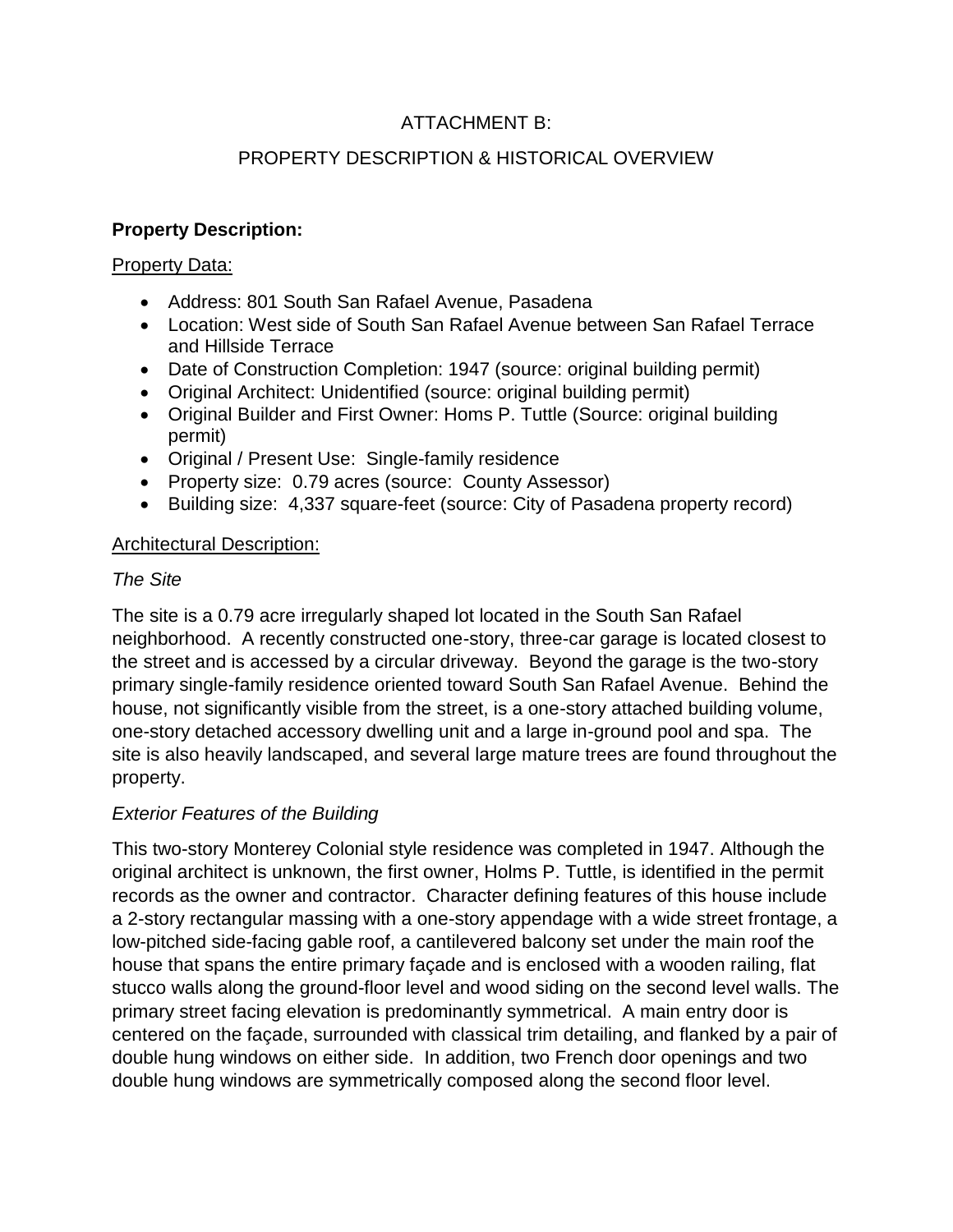# ATTACHMENT B:

# PROPERTY DESCRIPTION & HISTORICAL OVERVIEW

### **Property Description:**

#### Property Data:

- Address: 801 South San Rafael Avenue, Pasadena
- Location: West side of South San Rafael Avenue between San Rafael Terrace and Hillside Terrace
- Date of Construction Completion: 1947 (source: original building permit)
- Original Architect: Unidentified (source: original building permit)
- Original Builder and First Owner: Homs P. Tuttle (Source: original building permit)
- Original / Present Use: Single-family residence
- Property size: 0.79 acres (source: County Assessor)
- Building size: 4,337 square-feet (source: City of Pasadena property record)

### Architectural Description:

### *The Site*

The site is a 0.79 acre irregularly shaped lot located in the South San Rafael neighborhood. A recently constructed one-story, three-car garage is located closest to the street and is accessed by a circular driveway. Beyond the garage is the two-story primary single-family residence oriented toward South San Rafael Avenue. Behind the house, not significantly visible from the street, is a one-story attached building volume, one-story detached accessory dwelling unit and a large in-ground pool and spa. The site is also heavily landscaped, and several large mature trees are found throughout the property.

# *Exterior Features of the Building*

This two-story Monterey Colonial style residence was completed in 1947. Although the original architect is unknown, the first owner, Holms P. Tuttle, is identified in the permit records as the owner and contractor. Character defining features of this house include a 2-story rectangular massing with a one-story appendage with a wide street frontage, a low-pitched side-facing gable roof, a cantilevered balcony set under the main roof the house that spans the entire primary façade and is enclosed with a wooden railing, flat stucco walls along the ground-floor level and wood siding on the second level walls. The primary street facing elevation is predominantly symmetrical. A main entry door is centered on the façade, surrounded with classical trim detailing, and flanked by a pair of double hung windows on either side. In addition, two French door openings and two double hung windows are symmetrically composed along the second floor level.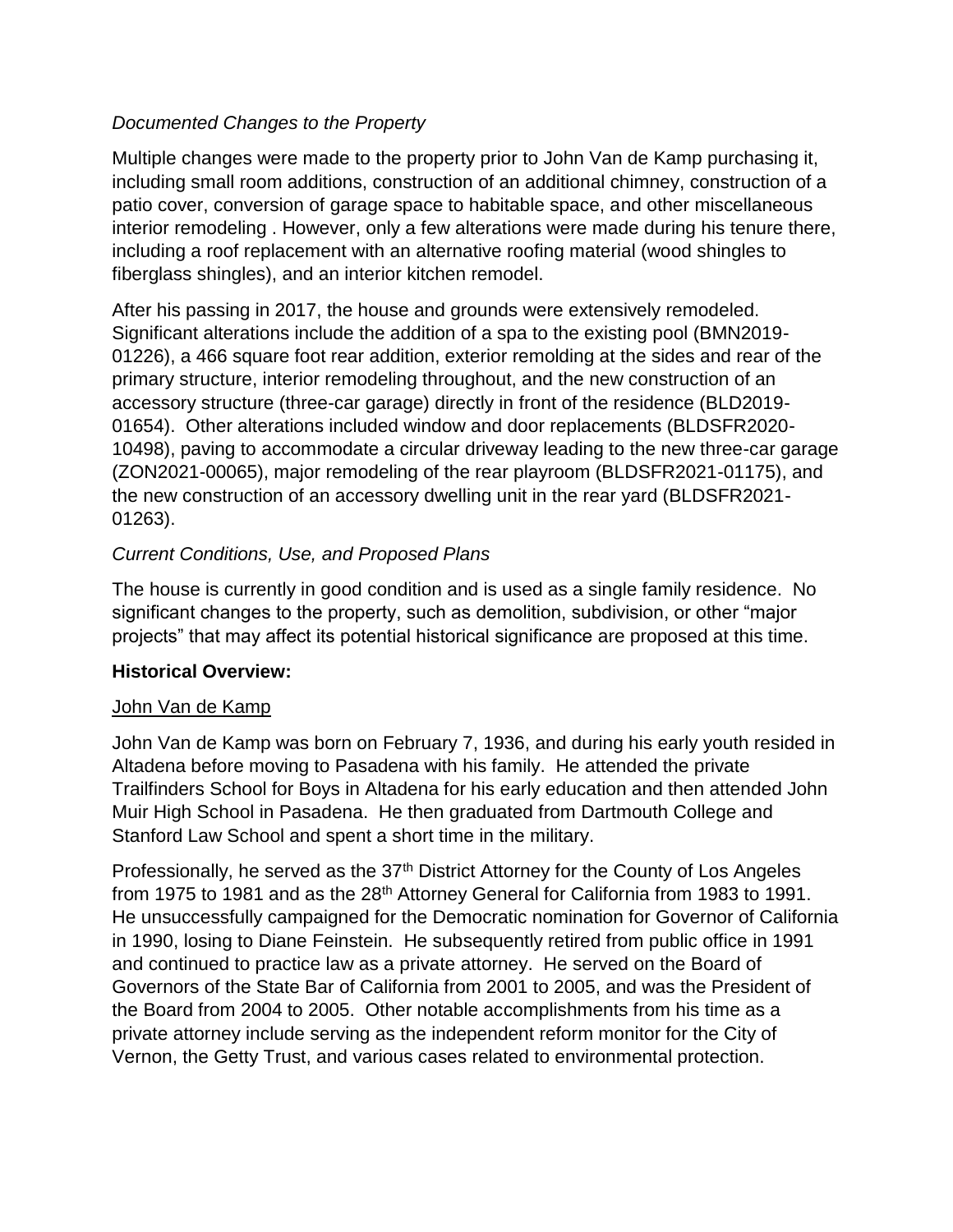### *Documented Changes to the Property*

Multiple changes were made to the property prior to John Van de Kamp purchasing it, including small room additions, construction of an additional chimney, construction of a patio cover, conversion of garage space to habitable space, and other miscellaneous interior remodeling . However, only a few alterations were made during his tenure there, including a roof replacement with an alternative roofing material (wood shingles to fiberglass shingles), and an interior kitchen remodel.

After his passing in 2017, the house and grounds were extensively remodeled. Significant alterations include the addition of a spa to the existing pool (BMN2019- 01226), a 466 square foot rear addition, exterior remolding at the sides and rear of the primary structure, interior remodeling throughout, and the new construction of an accessory structure (three-car garage) directly in front of the residence (BLD2019- 01654). Other alterations included window and door replacements (BLDSFR2020- 10498), paving to accommodate a circular driveway leading to the new three-car garage (ZON2021-00065), major remodeling of the rear playroom (BLDSFR2021-01175), and the new construction of an accessory dwelling unit in the rear yard (BLDSFR2021- 01263).

### *Current Conditions, Use, and Proposed Plans*

The house is currently in good condition and is used as a single family residence. No significant changes to the property, such as demolition, subdivision, or other "major projects" that may affect its potential historical significance are proposed at this time.

#### **Historical Overview:**

#### John Van de Kamp

John Van de Kamp was born on February 7, 1936, and during his early youth resided in Altadena before moving to Pasadena with his family. He attended the private Trailfinders School for Boys in Altadena for his early education and then attended John Muir High School in Pasadena. He then graduated from Dartmouth College and Stanford Law School and spent a short time in the military.

Professionally, he served as the 37<sup>th</sup> District Attorney for the County of Los Angeles from 1975 to 1981 and as the 28<sup>th</sup> Attorney General for California from 1983 to 1991. He unsuccessfully campaigned for the Democratic nomination for Governor of California in 1990, losing to Diane Feinstein. He subsequently retired from public office in 1991 and continued to practice law as a private attorney. He served on the Board of Governors of the State Bar of California from 2001 to 2005, and was the President of the Board from 2004 to 2005. Other notable accomplishments from his time as a private attorney include serving as the independent reform monitor for the City of Vernon, the Getty Trust, and various cases related to environmental protection.